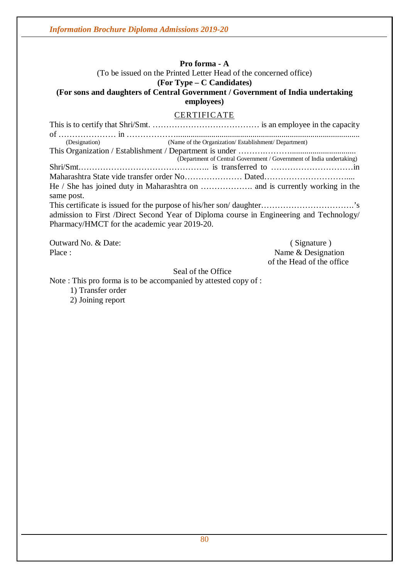#### **Pro forma - A** (To be issued on the Printed Letter Head of the concerned office) **(For Type – C Candidates)**

# **(For sons and daughters of Central Government / Government of India undertaking employees)**

# CERTIFICATE

| (Designation)                                | (Name of the Organization/Establishment/Department)                                     |
|----------------------------------------------|-----------------------------------------------------------------------------------------|
|                                              |                                                                                         |
|                                              | (Department of Central Government / Government of India undertaking)                    |
|                                              |                                                                                         |
|                                              |                                                                                         |
|                                              |                                                                                         |
| same post.                                   |                                                                                         |
|                                              |                                                                                         |
|                                              | admission to First /Direct Second Year of Diploma course in Engineering and Technology/ |
| Pharmacy/HMCT for the academic year 2019-20. |                                                                                         |
|                                              |                                                                                         |

Outward No. & Date: ( Signature ) ( Signature ) ( Signature ) ( Signature )

Name & Designation of the Head of the office

#### Seal of the Office

Note : This pro forma is to be accompanied by attested copy of :

- 1) Transfer order
- 2) Joining report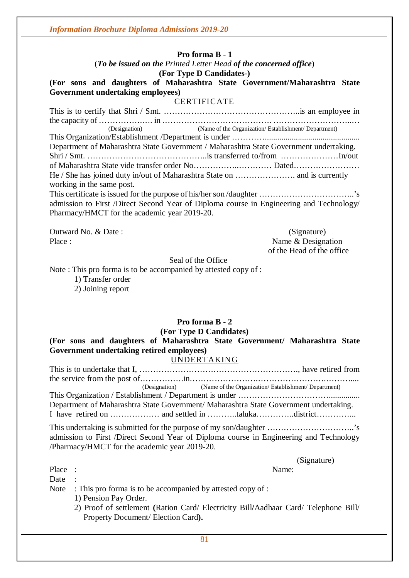#### **Pro forma B - 1**

#### (*To be issued on the Printed Letter Head of the concerned office*) **(For Type D Candidates-)**

#### **(For sons and daughters of Maharashtra State Government/Maharashtra State Government undertaking employees)**

#### CERTIFICATE

This is to certify that Shri / Smt. …………………………………………..is an employee in the capacity of …………….…. in …………………………………. ………………………..… (Designation) (Name of the Organization/ Establishment/ Department) This Organization/Establishment /Department is under ………….............................................. Department of Maharashtra State Government / Maharashtra State Government undertaking. Shri / Smt. ……………………………………..is transferred to/from …………………In/out of Maharashtra State vide transfer order No……………..………… Dated…………………… He / She has joined duty in/out of Maharashtra State on …………………. and is currently working in the same post. This certificate is issued for the purpose of his/her son /daughter ……………………………..'s admission to First /Direct Second Year of Diploma course in Engineering and Technology/ Pharmacy/HMCT for the academic year 2019-20.

Outward No. & Date : (Signature)

Place : Name & Designation of the Head of the office

Seal of the Office

Note : This pro forma is to be accompanied by attested copy of :

1) Transfer order 2) Joining report

# **Pro forma B - 2**

**(For Type D Candidates)**

**(For sons and daughters of Maharashtra State Government/ Maharashtra State Government undertaking retired employees)**

#### UNDERTAKING

This is to undertake that I, …………………………………………………., have retired from the service from the post of…………….in…………………….…………………….……….... (Designation) (Name of the Organization/ Establishment/ Department) This Organization / Establishment / Department is under ……………………………............... Department of Maharashtra State Government/ Maharashtra State Government undertaking. I have retired on ……………… and settled in ………..taluka…………..district…………...

This undertaking is submitted for the purpose of my son/daughter …………………………..'s admission to First /Direct Second Year of Diploma course in Engineering and Technology /Pharmacy/HMCT for the academic year 2019-20.

(Signature)

Place : Name:

Date :

- Note : This pro forma is to be accompanied by attested copy of :
	- 1) Pension Pay Order.
	- 2) Proof of settlement **(**Ration Card/ Electricity Bill**/**Aadhaar Card/ Telephone Bill/ Property Document/ Election Card**).**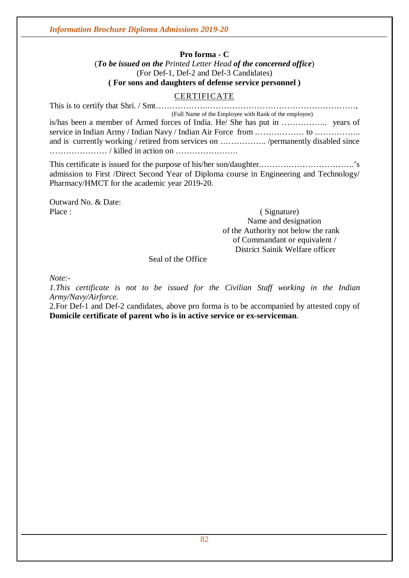#### **Pro forma - C**

(*To be issued on the Printed Letter Head of the concerned office*) (For Def-1, Def-2 and Def-3 Candidates) **( For sons and daughters of defense service personnel )**

# **CERTIFICATE**

| (Full Name of the Employee with Rank of the employee) |
|-------------------------------------------------------|
|                                                       |
|                                                       |
|                                                       |
|                                                       |

This certificate is issued for the purpose of his/her son/daughter.…………………………….'s admission to First /Direct Second Year of Diploma course in Engineering and Technology/ Pharmacy/HMCT for the academic year 2019-20.

Outward No. & Date:

Place : (Signature) Name and designation of the Authority not below the rank of Commandant or equivalent / District Sainik Welfare officer

Seal of the Office

*Note:-*

*1.This certificate is not to be issued for the Civilian Staff working in the Indian Army/Navy/Airforce.*

2.For Def-1 and Def-2 candidates, above pro forma is to be accompanied by attested copy of **Domicile certificate of parent who is in active service or ex-serviceman**.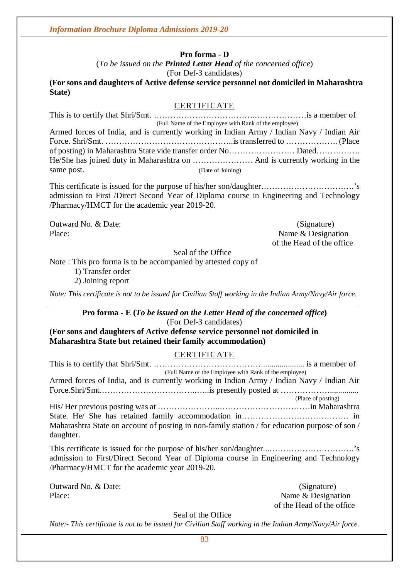**Pro forma - D** 

(*To be issued on the Printed Letter Head of the concerned office*) (For Def-3 candidates)

**(For sons and daughters of Active defense service personnel not domiciled in Maharashtra State)**

#### CERTIFICATE

|            | (Full Name of the Employee with Rank of the employee)                                     |
|------------|-------------------------------------------------------------------------------------------|
|            | Armed forces of India, and is currently working in Indian Army / Indian Navy / Indian Air |
|            |                                                                                           |
|            |                                                                                           |
|            |                                                                                           |
| same post. | (Date of Joining)                                                                         |

This certificate is issued for the purpose of his/her son/daughter…………………………….'s admission to First /Direct Second Year of Diploma course in Engineering and Technology /Pharmacy/HMCT for the academic year 2019-20.

Outward No. & Date: (Signature) Place: Name & Designation of the Head of the office

Seal of the Office

Note : This pro forma is to be accompanied by attested copy of

1) Transfer order

2) Joining report

*Note: This certificate is not to be issued for Civilian Staff working in the Indian Army/Navy/Air force.*

# **Pro forma - E (***To be issued on the Letter Head of the concerned office***)**

(For Def-3 candidates)

**(For sons and daughters of Active defense service personnel not domiciled in Maharashtra State but retained their family accommodation)**

#### **CERTIFICATE**

| (Full Name of the Employee with Rank of the employee)                                                                                  |                    |
|----------------------------------------------------------------------------------------------------------------------------------------|--------------------|
| Armed forces of India, and is currently working in Indian Army / Indian Navy / Indian Air                                              |                    |
|                                                                                                                                        |                    |
|                                                                                                                                        | (Place of posting) |
|                                                                                                                                        |                    |
|                                                                                                                                        |                    |
| Maharashtra State on account of posting in non-family station / for education purpose of son /<br>daughter.                            |                    |
| admission to First/Direct Second Year of Diploma course in Engineering and Technology<br>/Pharmacy/HMCT for the academic year 2019-20. |                    |
| Outward No. & Date:                                                                                                                    | (Signature)        |

Place: Name & Designation of the Head of the office

Seal of the Office

*Note:- This certificate is not to be issued for Civilian Staff working in the Indian Army/Navy/Air force.*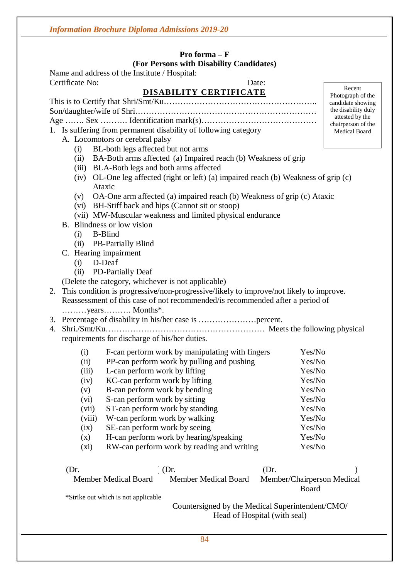#### **Pro forma – F (For Persons with Disability Candidates)**

 $\overline{1}$ 

Name and address of the Institute / Hospital: Certificate No: Date:

|      |               |                                               | DISABILITY CERTIFICATE                                                                    |                            | Recent<br>Photograph of the           |
|------|---------------|-----------------------------------------------|-------------------------------------------------------------------------------------------|----------------------------|---------------------------------------|
|      |               |                                               |                                                                                           |                            | candidate showing                     |
|      |               |                                               |                                                                                           |                            | the disability duly                   |
|      |               |                                               |                                                                                           |                            | attested by the<br>chairperson of the |
|      |               |                                               | 1. Is suffering from permanent disability of following category                           |                            | Medical Board                         |
|      |               | A. Locomotors or cerebral palsy               |                                                                                           |                            |                                       |
|      | (i)           | BL-both legs affected but not arms            |                                                                                           |                            |                                       |
|      | (ii)          |                                               | BA-Both arms affected (a) Impaired reach (b) Weakness of grip                             |                            |                                       |
|      |               |                                               | (iii) BLA-Both legs and both arms affected                                                |                            |                                       |
|      | (iv)          |                                               | OL-One leg affected (right or left) (a) impaired reach (b) Weakness of grip (c)           |                            |                                       |
|      |               | Ataxic                                        |                                                                                           |                            |                                       |
|      | (v)           |                                               | OA-One arm affected (a) impaired reach (b) Weakness of grip (c) Ataxic                    |                            |                                       |
|      |               |                                               | (vi) BH-Stiff back and hips (Cannot sit or stoop)                                         |                            |                                       |
|      |               |                                               | (vii) MW-Muscular weakness and limited physical endurance                                 |                            |                                       |
|      |               | B. Blindness or low vision                    |                                                                                           |                            |                                       |
|      | $(i)$ B-Blind |                                               |                                                                                           |                            |                                       |
|      |               | (ii) PB-Partially Blind                       |                                                                                           |                            |                                       |
|      |               | C. Hearing impairment                         |                                                                                           |                            |                                       |
|      | $(i)$ D-Deaf  |                                               |                                                                                           |                            |                                       |
|      | (ii)          | <b>PD-Partially Deaf</b>                      |                                                                                           |                            |                                       |
|      |               |                                               | (Delete the category, whichever is not applicable)                                        |                            |                                       |
|      |               |                                               | 2. This condition is progressive/non-progressive/likely to improve/not likely to improve. |                            |                                       |
|      |               |                                               | Reassessment of this case of not recommended/is recommended after a period of             |                            |                                       |
|      |               |                                               |                                                                                           |                            |                                       |
|      |               |                                               |                                                                                           |                            |                                       |
| 4.   |               |                                               |                                                                                           |                            |                                       |
|      |               | requirements for discharge of his/her duties. |                                                                                           |                            |                                       |
|      | (i)           |                                               | F-can perform work by manipulating with fingers                                           | Yes/No                     |                                       |
|      | (ii)          |                                               | PP-can perform work by pulling and pushing                                                | Yes/No                     |                                       |
|      | (iii)         | L-can perform work by lifting                 |                                                                                           | Yes/No                     |                                       |
|      | (iv)          | KC-can perform work by lifting                |                                                                                           | Yes/No                     |                                       |
|      | (v)           | B-can perform work by bending                 |                                                                                           | Yes/No                     |                                       |
|      | (vi)          | S-can perform work by sitting                 |                                                                                           | Yes/No                     |                                       |
|      | (vii)         | ST-can perform work by standing               |                                                                                           | Yes/No                     |                                       |
|      | (viii)        | W-can perform work by walking                 |                                                                                           | Yes/No                     |                                       |
|      | (ix)          | SE-can perform work by seeing                 |                                                                                           | Yes/No                     |                                       |
|      | (x)           |                                               | H-can perform work by hearing/speaking                                                    | Yes/No                     |                                       |
|      | (xi)          |                                               | RW-can perform work by reading and writing                                                | Yes/No                     |                                       |
| (Dr. |               |                                               | $(Dr)$ .                                                                                  | (Dr.                       |                                       |
|      |               | <b>Member Medical Board</b>                   | <b>Member Medical Board</b>                                                               | Member/Chairperson Medical |                                       |
|      |               |                                               |                                                                                           | Board                      |                                       |

\*Strike out which is not applicable

Countersigned by the Medical Superintendent/CMO/ Head of Hospital (with seal)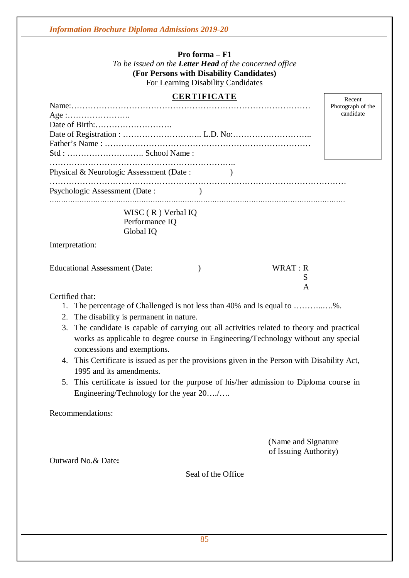**Pro forma – F1** *To be issued on the Letter Head of the concerned office* **(For Persons with Disability Candidates)** For Learning Disability Candidates

#### **CERTIFICATE**

|                                                   | Photograph of the |
|---------------------------------------------------|-------------------|
|                                                   | candidate         |
|                                                   |                   |
|                                                   |                   |
|                                                   |                   |
|                                                   |                   |
| Physical & Neurologic Assessment (Date:           |                   |
|                                                   |                   |
| Psychologic Assessment (Date:                     |                   |
| WISC (R) Verbal IQ<br>Performance IQ<br>Global IQ |                   |
| Interpretation:                                   |                   |
| WRAT: R<br><b>Educational Assessment (Date:</b>   |                   |
|                                                   | S                 |
|                                                   | A                 |
| Certified that:                                   |                   |
|                                                   |                   |

- 1. The percentage of Challenged is not less than 40% and is equal to ………..….%.
- 2. The disability is permanent in nature.
- 3. The candidate is capable of carrying out all activities related to theory and practical works as applicable to degree course in Engineering/Technology without any special concessions and exemptions.
- 4. This Certificate is issued as per the provisions given in the Person with Disability Act, 1995 and its amendments.
- 5. This certificate is issued for the purpose of his/her admission to Diploma course in Engineering/Technology for the year 20…./….

Recommendations:

(Name and Signature of Issuing Authority)

Recent

Outward No.& Date**:**

Seal of the Office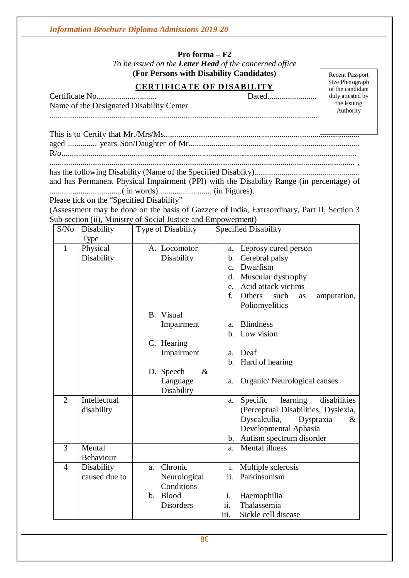#### **Pro forma – F2**

*To be issued on the Letter Head of the concerned office* **(For Persons with Disability Candidates)**

# **CERTIFICATE OF DISABILITY**

Certificate No............................. Dated........................ Name of the Designated Disability Center ..................................................................................................................................

Recent Passport Size Photograph of the candidate duly attested by the issuing Authority

has the following Disability (Name of the Specified Disablity)...................................................

and has Permanent Physical Impairment (PPI) with the Disability Range (in percentage) of ...................................( in words) ......................... (in Figures).

Please tick on the "Specified Disability"

(Assessment may be done on the basis of Gazzete of India, Extraordinary, Part II, Section 3 Sub-section (ii), Ministry of Social Justice and Empowerment)

| S/No           | Disability    | Type of Disability            | <b>Specified Disability</b>                |  |  |
|----------------|---------------|-------------------------------|--------------------------------------------|--|--|
|                | Type          |                               |                                            |  |  |
| $\mathbf{1}$   | Physical      | A. Locomotor                  | Leprosy cured person<br>a.                 |  |  |
|                | Disability    | Disability                    | Cerebral palsy<br>b.                       |  |  |
|                |               |                               | Dwarfism<br>$\mathbf{c}$ .                 |  |  |
|                |               |                               | Muscular dystrophy<br>d.                   |  |  |
|                |               |                               | Acid attack victims<br>e.                  |  |  |
|                |               |                               | f.<br>Others<br>such<br>amputation,<br>as  |  |  |
|                |               |                               | Poliomyelitics                             |  |  |
|                |               | B. Visual                     |                                            |  |  |
|                |               | Impairment                    | <b>Blindness</b><br>a.                     |  |  |
|                |               |                               | Low vision<br>b.                           |  |  |
|                |               | C. Hearing                    |                                            |  |  |
|                |               | Impairment                    | Deaf<br>a.                                 |  |  |
|                |               |                               | Hard of hearing<br>b.                      |  |  |
|                |               | $\&$<br>D. Speech             |                                            |  |  |
|                |               | Language                      | Organic/Neurological causes<br>a.          |  |  |
|                |               | Disability                    |                                            |  |  |
| $\overline{2}$ | Intellectual  |                               | disabilities<br>Specific<br>learning<br>a. |  |  |
|                | disability    |                               | (Perceptual Disabilities, Dyslexia,        |  |  |
|                |               |                               | Dyscalculia,<br>Dyspraxia<br>$\&$          |  |  |
|                |               |                               | Developmental Aphasia                      |  |  |
|                |               |                               | Autism spectrum disorder<br>b.             |  |  |
| 3              | Mental        |                               | <b>Mental</b> illness<br>a.                |  |  |
|                | Behaviour     |                               |                                            |  |  |
| $\overline{4}$ | Disability    | Chronic<br>a.                 | i.<br>Multiple sclerosis                   |  |  |
|                | caused due to | Neurological                  | ii.<br>Parkinsonism                        |  |  |
|                |               | Conditions                    |                                            |  |  |
|                |               | <b>Blood</b><br>$\mathbf b$ . | Haemophilia<br>i.                          |  |  |
|                |               | <b>Disorders</b>              | ii.<br>Thalassemia                         |  |  |
|                |               |                               | Sickle cell disease<br>111.                |  |  |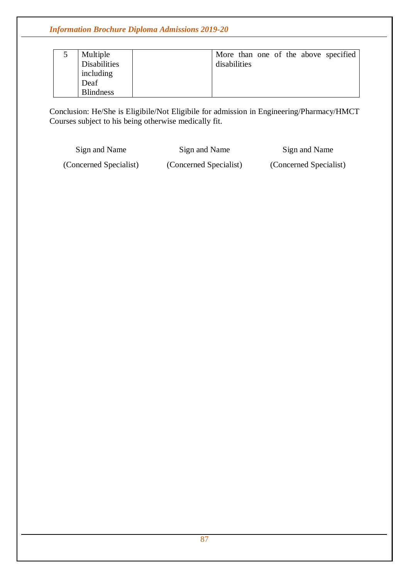| Multiple            | More than one of the above specified |
|---------------------|--------------------------------------|
| <b>Disabilities</b> | disabilities                         |
| including           |                                      |
| Deaf                |                                      |
| <b>Blindness</b>    |                                      |

Conclusion: He/She is Eligibile/Not Eligibile for admission in Engineering/Pharmacy/HMCT Courses subject to his being otherwise medically fit.

Sign and Name Sign and Name Sign and Name Sign and Name (Concerned Specialist) (Concerned Specialist) (Concerned Specialist)

87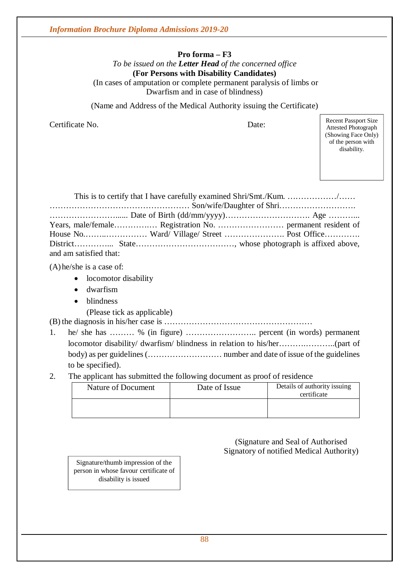## **Pro forma – F3**

*To be issued on the Letter Head of the concerned office* **(For Persons with Disability Candidates)** (In cases of amputation or complete permanent paralysis of limbs or Dwarfism and in case of blindness)

(Name and Address of the Medical Authority issuing the Certificate)

Certificate No. Date:

Recent Passport Size Attested Photograph (Showing Face Only) of the person with disability.

| and am satisfied that: |  |
|------------------------|--|

(A) he/she is a case of:

- locomotor disability
- dwarfism
- blindness
	- (Please tick as applicable)

(B)the diagnosis in his/her case is ………………………………………………

- 1. he/ she has ……… % (in figure) …………………….. percent (in words) permanent locomotor disability/ dwarfism/ blindness in relation to his/her……….………..(part of body) as per guidelines (……………………… number and date of issue of the guidelines to be specified).
- 2. The applicant has submitted the following document as proof of residence

| Nature of Document | Date of Issue | Details of authority issuing<br>certificate |
|--------------------|---------------|---------------------------------------------|
|                    |               |                                             |

(Signature and Seal of Authorised Signatory of notified Medical Authority)

Signature/thumb impression of the person in whose favour certificate of disability is issued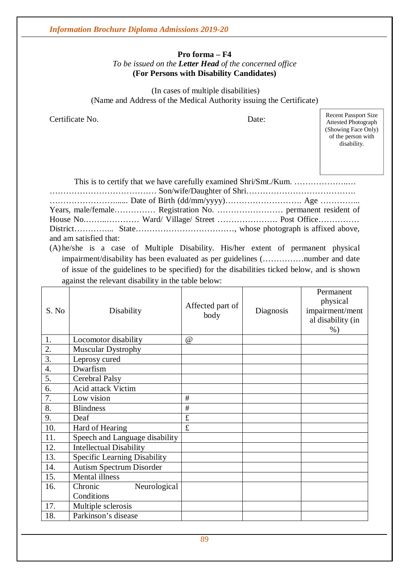#### **Pro forma – F4** *To be issued on the Letter Head of the concerned office* **(For Persons with Disability Candidates)**

(In cases of multiple disabilities) (Name and Address of the Medical Authority issuing the Certificate)

Certificate No. Date:

Recent Passport Size Attested Photograph (Showing Face Only) of the person with disability.

| and am satisfied that:                                                                |  |  |  |  |
|---------------------------------------------------------------------------------------|--|--|--|--|
| (A) he/she is a case of Multiple Disability. His/her extent of permanent physical     |  |  |  |  |
| impairment/disability has been evaluated as ner quidelines (notice in mumber and date |  |  |  |  |

impairment/disability has been evaluated as per guidelines (……………number and date of issue of the guidelines to be specified) for the disabilities ticked below, and is shown against the relevant disability in the table below:

| S. No | Disability                      | Affected part of<br>body | Diagnosis | Permanent<br>physical<br>impairment/ment<br>al disability (in<br>$%$ ) |
|-------|---------------------------------|--------------------------|-----------|------------------------------------------------------------------------|
| 1.    | Locomotor disability            | $\omega$                 |           |                                                                        |
| 2.    | <b>Muscular Dystrophy</b>       |                          |           |                                                                        |
| 3.    | Leprosy cured                   |                          |           |                                                                        |
| 4.    | Dwarfism                        |                          |           |                                                                        |
| 5.    | <b>Cerebral Palsy</b>           |                          |           |                                                                        |
| 6.    | Acid attack Victim              |                          |           |                                                                        |
| 7.    | Low vision                      | #                        |           |                                                                        |
| 8.    | <b>Blindness</b>                | $\#$                     |           |                                                                        |
| 9.    | Deaf                            | £                        |           |                                                                        |
| 10.   | Hard of Hearing                 | £                        |           |                                                                        |
| 11.   | Speech and Language disability  |                          |           |                                                                        |
| 12.   | <b>Intellectual Disability</b>  |                          |           |                                                                        |
| 13.   | Specific Learning Disability    |                          |           |                                                                        |
| 14.   | <b>Autism Spectrum Disorder</b> |                          |           |                                                                        |
| 15.   | <b>Mental illness</b>           |                          |           |                                                                        |
| 16.   | Chronic<br>Neurological         |                          |           |                                                                        |
|       | Conditions                      |                          |           |                                                                        |
| 17.   | Multiple sclerosis              |                          |           |                                                                        |
| 18.   | Parkinson's disease             |                          |           |                                                                        |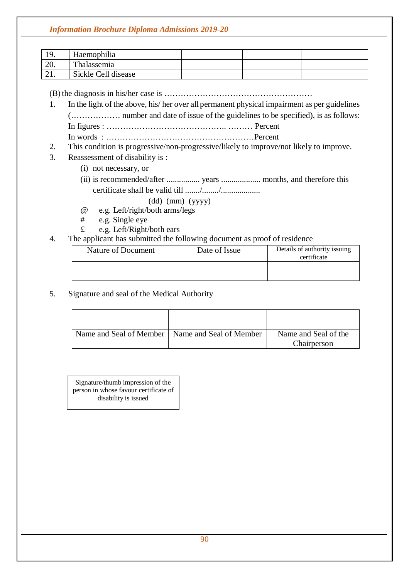| 10<br>. <i>.</i> . | Haemophilia         |  |  |
|--------------------|---------------------|--|--|
| 20.                | Thalassemia         |  |  |
| 41.                | Sickle Cell disease |  |  |

(B)the diagnosis in his/her case is ………………………………………………

- 1. In the light of the above, his/ her over all permanent physical impairment as per guidelines (……………… number and date of issue of the guidelines to be specified), is as follows: In figures : …………………………………….. ……… Percent In words : ………………………………………………Percent
- 2. This condition is progressive/non-progressive/likely to improve/not likely to improve.
- 3. Reassessment of disability is :
	- (i) not necessary, or
	- (ii) is recommended/after ................ years ................... months, and therefore this certificate shall be valid till ......./......../...................
		- (dd) (mm) (yyyy)
	- @ e.g. Left/right/both arms/legs
	- # e.g. Single eye
	- £ e.g. Left/Right/both ears
- 4. The applicant has submitted the following document as proof of residence

| Nature of Document | Date of Issue | Details of authority issuing<br>certificate |
|--------------------|---------------|---------------------------------------------|
|                    |               |                                             |

5. Signature and seal of the Medical Authority

| Name and Seal of Member   Name and Seal of Member | Name and Seal of the |
|---------------------------------------------------|----------------------|
|                                                   | Chairperson          |

Signature/thumb impression of the person in whose favour certificate of disability is issued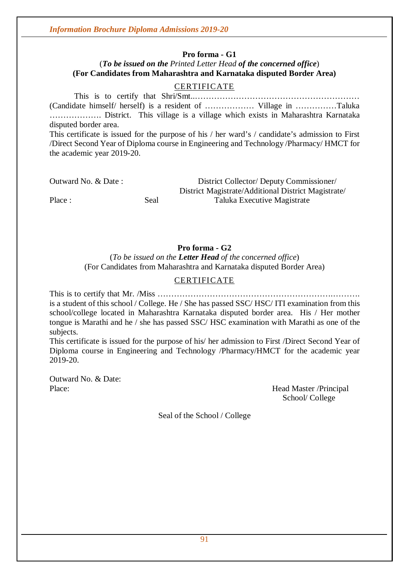#### **Pro forma - G1**

# (*To be issued on the Printed Letter Head of the concerned office*) **(For Candidates from Maharashtra and Karnataka disputed Border Area)**

#### CERTIFICATE

This is to certify that Shri/Smt..…………………………………………………… (Candidate himself/ herself) is a resident of ……………… Village in ……………Taluka ………………. District. This village is a village which exists in Maharashtra Karnataka disputed border area. This certificate is issued for the purpose of his / her ward's / candidate's admission to First

/Direct Second Year of Diploma course in Engineering and Technology /Pharmacy/ HMCT for the academic year 2019-20.

Outward No. & Date : District Collector/ Deputy Commissioner/ District Magistrate/Additional District Magistrate/ Place : Seal Seal Taluka Executive Magistrate

#### **Pro forma - G2**

(*To be issued on the Letter Head of the concerned office*) (For Candidates from Maharashtra and Karnataka disputed Border Area)

#### **CERTIFICATE**

This is to certify that Mr. /Miss ……………………………………………………….………. is a student of this school / College. He / She has passed SSC/ HSC/ ITI examination from this school/college located in Maharashtra Karnataka disputed border area. His / Her mother tongue is Marathi and he / she has passed SSC/ HSC examination with Marathi as one of the subjects.

This certificate is issued for the purpose of his/ her admission to First /Direct Second Year of Diploma course in Engineering and Technology /Pharmacy/HMCT for the academic year 2019-20.

Outward No. & Date:

Place: Head Master /Principal School/ College

Seal of the School / College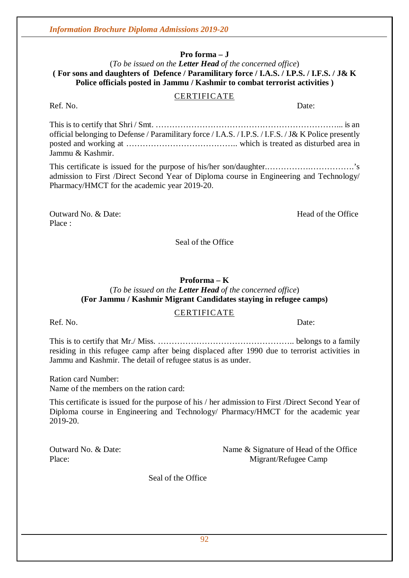**Pro forma – J**

#### (*To be issued on the Letter Head of the concerned office*) **( For sons and daughters of Defence / Paramilitary force / I.A.S. / I.P.S. / I.F.S. / J& K Police officials posted in Jammu / Kashmir to combat terrorist activities )**

#### CERTIFICATE

This is to certify that Shri / Smt. …………………………………………………………... is an official belonging to Defense / Paramilitary force / I.A.S. / I.P.S. / I.F.S. / J& K Police presently posted and working at ………………………………….. which is treated as disturbed area in Jammu & Kashmir.

This certificate is issued for the purpose of his/her son/daughter.…………….…………….'s admission to First /Direct Second Year of Diploma course in Engineering and Technology/ Pharmacy/HMCT for the academic year 2019-20.

Outward No. & Date: Solution of the Office Read of the Office Read of the Office Place :

Seal of the Office

#### **Proforma – K**

#### (*To be issued on the Letter Head of the concerned office*) **(For Jammu / Kashmir Migrant Candidates staying in refugee camps)**

#### CERTIFICATE

Ref. No. Date:

This is to certify that Mr./ Miss. ………………………………………….. belongs to a family residing in this refugee camp after being displaced after 1990 due to terrorist activities in Jammu and Kashmir. The detail of refugee status is as under.

Ration card Number: Name of the members on the ration card:

This certificate is issued for the purpose of his / her admission to First /Direct Second Year of Diploma course in Engineering and Technology/ Pharmacy/HMCT for the academic year 2019-20.

Outward No. & Date: Name & Signature of Head of the Office Place: Migrant/Refugee Camp

Seal of the Office

Ref. No. Date: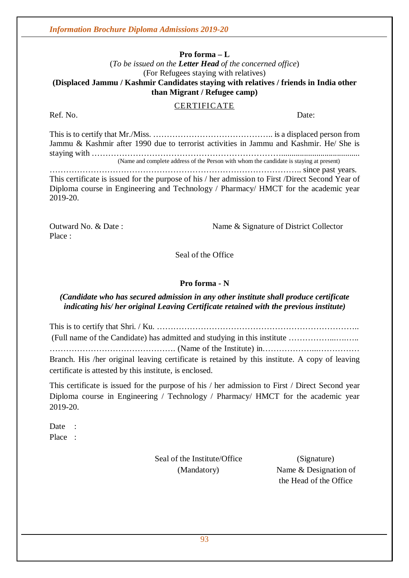#### **Pro forma – L**

#### (*To be issued on the Letter Head of the concerned office*) (For Refugees staying with relatives) **(Displaced Jammu / Kashmir Candidates staying with relatives / friends in India other than Migrant / Refugee camp)**

#### CERTIFICATE

Ref. No. Date:

This is to certify that Mr./Miss. …………………………………….. is a displaced person from Jammu & Kashmir after 1990 due to terrorist activities in Jammu and Kashmir. He/ She is staying with ……………………………………………………………...................................... (Name and complete address of the Person with whom the candidate is staying at present) ……………………………………………………………………………….. since past years. This certificate is issued for the purpose of his / her admission to First /Direct Second Year of

Diploma course in Engineering and Technology / Pharmacy/ HMCT for the academic year 2019-20.

Place :

Outward No. & Date : Name & Signature of District Collector

Seal of the Office

#### **Pro forma - N**

#### *(Candidate who has secured admission in any other institute shall produce certificate indicating his/ her original Leaving Certificate retained with the previous institute)*

This is to certify that Shri. / Ku. ……………………………………………………………….. (Full name of the Candidate) has admitted and studying in this institute ……………...….….. ………………………………………. (Name of the Institute) in………………...…………… Branch. His /her original leaving certificate is retained by this institute. A copy of leaving certificate is attested by this institute, is enclosed.

This certificate is issued for the purpose of his / her admission to First / Direct Second year Diploma course in Engineering / Technology / Pharmacy/ HMCT for the academic year 2019-20.

Date · Place :

Seal of the Institute/Office (Signature)

(Mandatory) Name & Designation of the Head of the Office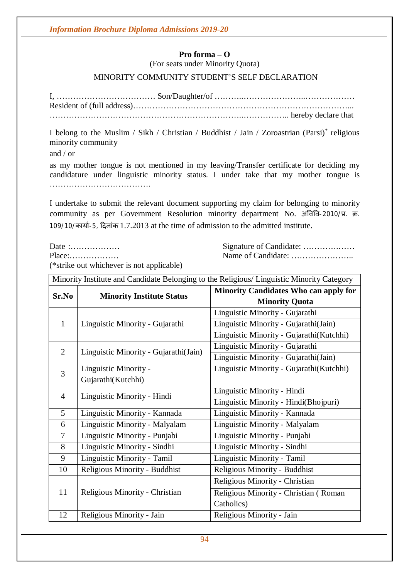# **Pro forma – O**

(For seats under Minority Quota)

#### MINORITY COMMUNITY STUDENT'S SELF DECLARATION

I, ……………………………… Son/Daughter/of ………..…………………..……………… Resident of (full address)……………………………………………………………………... ……………………………………………………………..…………….. hereby declare that

I belong to the Muslim / Sikh / Christian / Buddhist / Jain / Zoroastrian (Parsi)\* religious minority community

and / or

as my mother tongue is not mentioned in my leaving/Transfer certificate for deciding my candidature under linguistic minority status. I under take that my mother tongue is ……………………………….

I undertake to submit the relevant document supporting my claim for belonging to minority community as per Government Resolution minority department No. अविवि-2010/प्र. क्र. 109/10/कार्या-5, दिनांक 1.7.2013 at the time of admission to the admitted institute.

Date :……………… Signature of Candidate: ………….…… Place:……………… Name of Candidate: …………………..

(\*strike out whichever is not applicable)

| Minority Institute and Candidate Belonging to the Religious/ Linguistic Minority Category |                                       |                                                                       |  |  |
|-------------------------------------------------------------------------------------------|---------------------------------------|-----------------------------------------------------------------------|--|--|
| Sr.No                                                                                     | <b>Minority Institute Status</b>      | <b>Minority Candidates Who can apply for</b><br><b>Minority Quota</b> |  |  |
|                                                                                           |                                       | Linguistic Minority - Gujarathi                                       |  |  |
| $\mathbf{1}$                                                                              | Linguistic Minority - Gujarathi       | Linguistic Minority - Gujarathi(Jain)                                 |  |  |
|                                                                                           |                                       | Linguistic Minority - Gujarathi(Kutchhi)                              |  |  |
| $\overline{2}$                                                                            |                                       | Linguistic Minority - Gujarathi                                       |  |  |
|                                                                                           | Linguistic Minority - Gujarathi(Jain) | Linguistic Minority - Gujarathi(Jain)                                 |  |  |
| 3                                                                                         | Linguistic Minority -                 | Linguistic Minority - Gujarathi(Kutchhi)                              |  |  |
|                                                                                           | Gujarathi(Kutchhi)                    |                                                                       |  |  |
| $\overline{4}$                                                                            | Linguistic Minority - Hindi           | Linguistic Minority - Hindi                                           |  |  |
|                                                                                           |                                       | Linguistic Minority - Hindi(Bhojpuri)                                 |  |  |
| 5                                                                                         | Linguistic Minority - Kannada         | Linguistic Minority - Kannada                                         |  |  |
| 6                                                                                         | Linguistic Minority - Malyalam        | Linguistic Minority - Malyalam                                        |  |  |
| $\overline{7}$                                                                            | Linguistic Minority - Punjabi         | Linguistic Minority - Punjabi                                         |  |  |
| 8                                                                                         | Linguistic Minority - Sindhi          | Linguistic Minority - Sindhi                                          |  |  |
| 9                                                                                         | Linguistic Minority - Tamil           | Linguistic Minority - Tamil                                           |  |  |
| 10                                                                                        | Religious Minority - Buddhist         | Religious Minority - Buddhist                                         |  |  |
| 11                                                                                        |                                       | Religious Minority - Christian                                        |  |  |
|                                                                                           | Religious Minority - Christian        | Religious Minority - Christian (Roman                                 |  |  |
|                                                                                           |                                       | Catholics)                                                            |  |  |
| 12                                                                                        | Religious Minority - Jain             | Religious Minority - Jain                                             |  |  |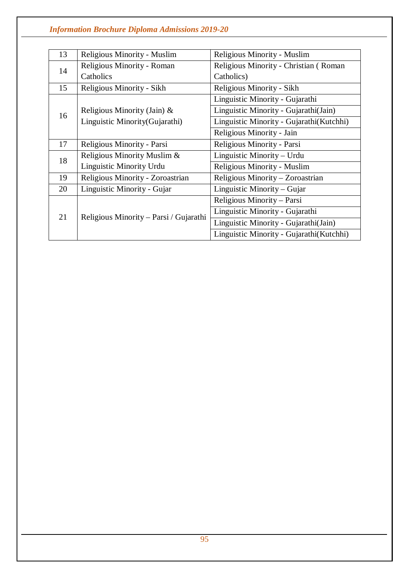| 13 | Religious Minority - Muslim            | Religious Minority - Muslim               |
|----|----------------------------------------|-------------------------------------------|
| 14 | Religious Minority - Roman             | Religious Minority - Christian (Roman     |
|    | Catholics                              | Catholics)                                |
| 15 | Religious Minority - Sikh              | Religious Minority - Sikh                 |
|    |                                        | Linguistic Minority - Gujarathi           |
| 16 | Religious Minority (Jain) &            | Linguistic Minority - Gujarathi(Jain)     |
|    | Linguistic Minority (Gujarathi)        | Linguistic Minority - Gujarathi(Kutchhi)  |
|    |                                        | Religious Minority - Jain                 |
| 17 | Religious Minority - Parsi             | Religious Minority - Parsi                |
| 18 | Religious Minority Muslim &            | Linguistic Minority – Urdu                |
|    | Linguistic Minority Urdu               | Religious Minority - Muslim               |
| 19 | Religious Minority - Zoroastrian       | Religious Minority - Zoroastrian          |
| 20 | Linguistic Minority - Gujar            | Linguistic Minority - Gujar               |
|    |                                        | Religious Minority - Parsi                |
| 21 | Religious Minority – Parsi / Gujarathi | Linguistic Minority - Gujarathi           |
|    |                                        | Linguistic Minority - Gujarathi(Jain)     |
|    |                                        | Linguistic Minority - Gujarathi (Kutchhi) |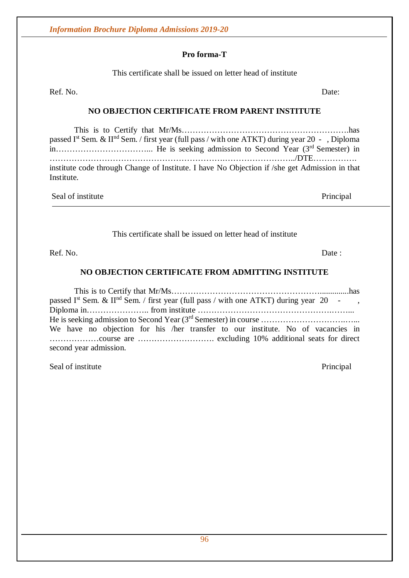#### **Pro forma-T**

This certificate shall be issued on letter head of institute

Ref. No. Date:

## **NO OBJECTION CERTIFICATE FROM PARENT INSTITUTE**

This is to Certify that Mr/Ms…………………………………………………….has passed I<sup>st</sup> Sem. & II<sup>nd</sup> Sem. / first year (full pass / with one ATKT) during year 20 - , Diploma in……………………………... He is seeking admission to Second Year (3 rd Semester) in ……………………………………………………….……………………../DTE……………. institute code through Change of Institute. I have No Objection if /she get Admission in that Institute.

Seal of institute Principal

#### This certificate shall be issued on letter head of institute

Ref. No. Date :

#### **NO OBJECTION CERTIFICATE FROM ADMITTING INSTITUTE**

This is to Certify that Mr/Ms………………………………………………..............has passed I<sup>st</sup> Sem. & II<sup>nd</sup> Sem. / first year (full pass / with one ATKT) during year 20 - , Diploma in………………….. from institute ………………………………………….……... He is seeking admission to Second Year (3 rd Semester) in course ………………………….…... We have no objection for his /her transfer to our institute. No of vacancies in ………………course are ………………………. excluding 10% additional seats for direct second year admission.

Seal of institute Principal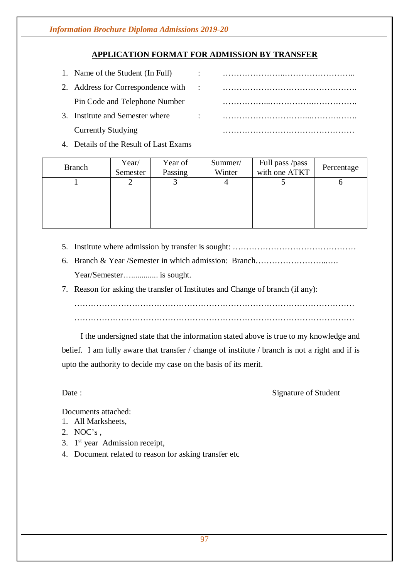# **APPLICATION FORMAT FOR ADMISSION BY TRANSFER**

| 1. Name of the Student (In Full)   |           |  |
|------------------------------------|-----------|--|
| 2. Address for Correspondence with | $\sim$ 1. |  |
| Pin Code and Telephone Number      |           |  |
| 3. Institute and Semester where    | $\bullet$ |  |
| <b>Currently Studying</b>          |           |  |

#### 4. Details of the Result of Last Exams

| <b>Branch</b> | Year/<br>Semester | Year of<br>Passing | Summer/<br>Winter | Full pass /pass<br>with one ATKT | Percentage |
|---------------|-------------------|--------------------|-------------------|----------------------------------|------------|
|               |                   |                    |                   |                                  |            |
|               |                   |                    |                   |                                  |            |
|               |                   |                    |                   |                                  |            |
|               |                   |                    |                   |                                  |            |

- 5. Institute where admission by transfer is sought: ………………………………………
- 6. Branch & Year /Semester in which admission: Branch……………………...…. Year/Semester…............. is sought.
- 7. Reason for asking the transfer of Institutes and Change of branch (if any):

…………………………………………………………………………………………

 $\mathcal{L}^{\text{max}}_{\text{max}}$ 

I the undersigned state that the information stated above is true to my knowledge and

belief. I am fully aware that transfer / change of institute / branch is not a right and if is upto the authority to decide my case on the basis of its merit.

Date : Signature of Student

Documents attached:

- 1. All Marksheets,
- 2. NOC's ,
- 3. 1<sup>st</sup> year Admission receipt,
- 4. Document related to reason for asking transfer etc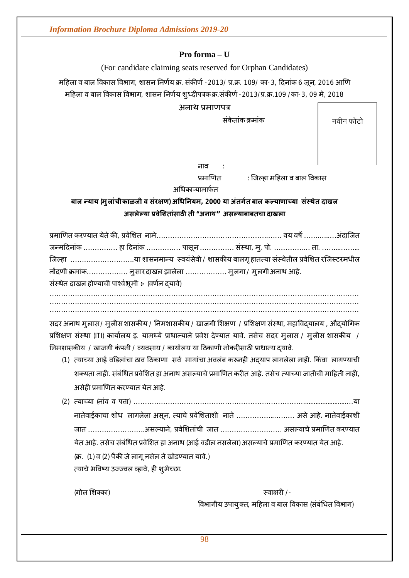#### **Pro forma – U**

(For candidate claiming seats reserved for Orphan Candidates)

महिला व बाल विकास विभाग, शासन निर्णय क्र. संकीर्ण -2013/ प्र.क्र. 109/ का-3, दिनांक 6 जून, 2016 आणि महिला व बाल विकास विभाग, शासन निर्णय शुध्दीपत्रकक्र.संकीर्ण -2013/प्र.क्र.109 /का-3, 09 मे, 2018

अनाथ प्रमाणपत्र

संके तांक Đमांक

नवीन फोटो

नाव

प्रमाणित : जिल्हा महिला व बाल विकास

अधिकाऱ्यामार्फत

# **बाल Ûयाय (मुलांचीकाळजी व संर¢ण) अͬधǓनयम, 2000 या अंतग[त बाल कãयाणाÍया संèथेत दाखल असलेãया ĤवेͧशतांसाठȤ ती "अनाथ"असãयाबाबतचा दाखला**

| जिल्हा या शासनमान्य स्वयंसेवी / शासकीय बालगृ हातत्या संस्थेतील प्रवेशित रजिस्टरमधील |
|-------------------------------------------------------------------------------------|
| नोंदणी क्रमांक नुसार दाखल झालेला  मुलगा / मुलगी अनाथ आहे.                           |
| संस्थेत दाखल होण्याची पार्श्वभूमी :- (वर्णन दयावे)                                  |
|                                                                                     |
|                                                                                     |

सदर अनाथ मुलास / मुलीस शासकीय / निमशासकीय / खाजगी शिक्षण / प्रशिक्षण संस्था, महाविदयालय , औदयोगिक प्रशिक्षण संस्था (ITI) कार्यालय इ. यामध्ये प्राधान्याने प्रवेश देण्यात यावे. तसेच सदर मुलास / मुलीस शासकीय / निमशासकीय / खाजगी कंपनी / व्यवसाय / कार्यालय या ठिकाणी नोकरीसाठी प्राधान्य दयावे.

- (1) त्याच्या आई वडिलांचा ठाव ठिकाणा सर्व मागांचा अवलंब करूनही अदयाप लागलेला नाही. किंवा लागण्याची शक्यता नाही. संबंधित प्रवेशित हा अनाथ असल्याचे प्रमाणित करीत आहे. तसेच त्याच्या जातीची माहिती नाही, असेही प्रमाणित करण्यात येत आहे.
- (2) त्याच्या (नांव व पत्ता) ………………………………………………………………………………………..या नातेवाईकाचा शोध लागलेला असून, त्याचे प्रवेशिताशी नाते ……………………… असे आहे. नातेवाईकाशी जात ……………………..असल्याने, प्रवेशितांची जात ……………………… असल्याचे प्रमाणित करण्यात येत आहे. तसेच संबंधित प्रवेशित हा अनाथ (आई वडील नसलेला) असल्याचे प्रमाणित करण्यात येत आहे. (क्र. (1) व (2) पैकी जे लागू नसेल ते खोडण्यात यावे.) त्याचे भविष्य उज्ज्वल व्हावे, ही शुभेच्छा.

(गोल ͧशÈका) èवा¢रȣ /-

विभागीय उपायुक्त, महिला व बाल विकास (संबंधित विभाग)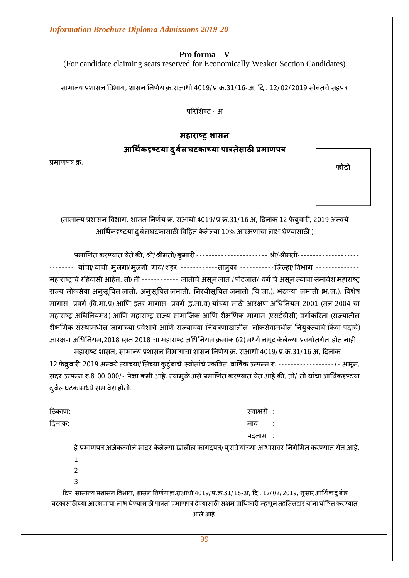**Pro forma – V**

(For candidate claiming seats reserved for Economically Weaker Section Candidates)

सामान्य प्रशासन विभाग, शासन निर्णय क्र.राआधो 4019/प्र.क्र.31/16-अ, दि . 12/02/2019 सोबतचे सहपत्र

परिशिष्ट - अ

# **महाराçĚ शासन**

# $3$ अधिकदृष्टया दुर्बल घटकाच्या पात्रतेसाठी प्रमाणपत्र

प्रमाणपत्र क्र.

**फोटो**

(सामान्य प्रशासन विभाग, शासन निर्णय क्र. राआधो 4019/प्र.क्र.31/16 अ, दिनांक 12 फेब्रुवारी, 2019 अन्वये आर्थिकदृष्टया दुर्बलघटकासाठी विहित केलेल्या 10% आरक्षणाचा लाभ घेण्यासाठी )

प्रमाणित करण्यात येते की, श्री/श्रीमती/कुमारी ------------------------ श्री/श्रीमती---------------------------- यांचा/यांची मुलगा/मुलगी गाव/शहर -----------तालुका ----------जिल्हा/विभाग --------------महाराष्ट्राचे रहिवासी आहेत. तो/ती ----------- जातीचे असून जात /पोटजात/ वर्ग चे असून त्याचा समावेश महाराष्ट्र राज्य लोकसेवा अनुसूचित जाती, अनुसूचित जमाती, निरधीसूचित जमाती (वि.जा.), भटक्या जमाती (भ.ज.), विशेष मागास प्रवर्ग (वि.मा.प्र) आणि इतर मागास प्रवर्ग (इ.मा.व) यांच्या साठी आरक्षण अधिनियम-2001 (सन 2004 चा महाराष्ट्र अधिनियम8) आणि महाराष्ट्र राज्य सामाजिक आणि शैक्षणिक मागास (एसईबीसी) वर्गाकरिता (राज्यातील शैक्षणिक संस्थांमधील जागांच्या प्रवेशाचे आणि राज्याच्या नियंत्रणाखालील लोकसेवांमधील नियुक्त्यांचे किंवा पदांचे) आरक्षण अधिनियम,2018 (सन 2018 चा महाराष्ट्र अधिनियम क्रमांक 62) मध्ये नमूद केलेल्या प्रवर्गातर्गत होत नाही.

महाराष्ट्र शासन, सामान्य प्रशासन विभागाचा शासन निर्णय क्र. राआधो 4019/प्र.क्र.31/16 अ, दिनांक 12 फेब्रुवारी 2019 अन्वये त्याच्या/तिच्या कुटुंबाचे स्त्रोतांचे एकत्रित वार्षिक उत्पन्न रु. ------------------/- असून, सदर उत्पन्न रु.8,00,000/- पेक्षा कमी आहे. त्यामुळेअसे प्रमाणित करण्यात येत आहे की, तो/ ती यांचा आर्थिकदृष्टया दुर्बलघटकामध्ये समावेश होतो.

Ǒठकाण: èवा¢रȣ : दिनाक: चार्व : काव : काव : काव : काव : काव : काव : काव पदनाम :

हे प्रमाणपत्र अर्जकत्यांने सादर केलेल्या खालील कागदपत्र/पुरावेयांच्या आधारावर निर्गमित करण्यात येत आहे.

- 1.
- $\mathcal{L}$
- 3.

टिप: सामान्य प्रशासन विभाग, शासन निर्णय क्र.राआधो 4019/प्र.क्र.31/16-अ, दि . 12/02/2019, नुसार आर्थिक दुर्बल घटकासाठीच्या आरक्षणाचा लाभ घेण्यासाठी पात्रता प्रमाणपत्र देण्यासाठी सक्षम प्राधिकारी म्हणून तहसिलदार यांना घोषित करण्यात आले आहे.